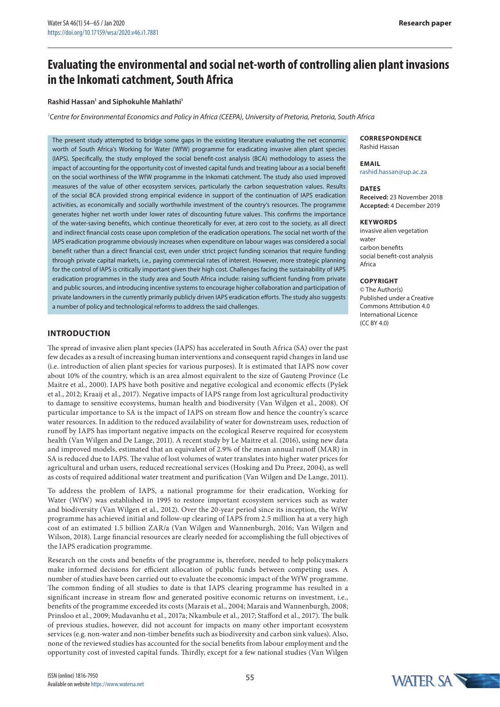# **Evaluating the environmental and social net-worth of controlling alien plant invasions in the Inkomati catchment, South Africa**

#### **Rashid Hassan1 and Siphokuhle Mahlathi1**

*1 Centre for Environmental Economics and Policy in Africa (CEEPA), University of Pretoria, Pretoria, South Africa*

The present study attempted to bridge some gaps in the existing literature evaluating the net economic worth of South Africa's Working for Water (WfW) programme for eradicating invasive alien plant species (IAPS). Specifically, the study employed the social benefit-cost analysis (BCA) methodology to assess the impact of accounting for the opportunity cost of invested capital funds and treating labour as a social benefit on the social worthiness of the WfW programme in the Inkomati catchment. The study also used improved measures of the value of other ecosystem services, particularly the carbon sequestration values. Results of the social BCA provided strong empirical evidence in support of the continuation of IAPS eradication activities, as economically and socially worthwhile investment of the country's resources. The programme generates higher net worth under lower rates of discounting future values. This confirms the importance of the water-saving benefits, which continue theoretically for ever, at zero cost to the society, as all direct and indirect financial costs cease upon completion of the eradication operations. The social net worth of the IAPS eradication programme obviously increases when expenditure on labour wages was considered a social benefit rather than a direct financial cost, even under strict project funding scenarios that require funding through private capital markets, i.e., paying commercial rates of interest. However, more strategic planning for the control of IAPS is critically important given their high cost. Challenges facing the sustainability of IAPS eradication programmes in the study area and South Africa include: raising sufficient funding from private and public sources, and introducing incentive systems to encourage higher collaboration and participation of private landowners in the currently primarily publicly driven IAPS eradication efforts. The study also suggests a number of policy and technological reforms to address the said challenges.

## **INTRODUCTION**

The spread of invasive alien plant species (IAPS) has accelerated in South Africa (SA) over the past few decades as a result of increasing human interventions and consequent rapid changes in land use (i.e. introduction of alien plant species for various purposes). It is estimated that IAPS now cover about 10% of the country, which is an area almost equivalent to the size of Gauteng Province (Le Maitre et al., 2000). IAPS have both positive and negative ecological and economic effects (Pyšek et al., 2012; Kraaij et al., 2017). Negative impacts of IAPS range from lost agricultural productivity to damage to sensitive ecosystems, human health and biodiversity (Van Wilgen et al., 2008). Of particular importance to SA is the impact of IAPS on stream flow and hence the country's scarce water resources. In addition to the reduced availability of water for downstream uses, reduction of runoff by IAPS has important negative impacts on the ecological Reserve required for ecosystem health (Van Wilgen and De Lange, 2011). A recent study by Le Maitre et al. (2016), using new data and improved models, estimated that an equivalent of 2.9% of the mean annual runoff (MAR) in SA is reduced due to IAPS. The value of lost volumes of water translates into higher water prices for agricultural and urban users, reduced recreational services (Hosking and Du Preez, 2004), as well as costs of required additional water treatment and purification (Van Wilgen and De Lange, 2011).

To address the problem of IAPS, a national programme for their eradication, Working for Water (WfW) was established in 1995 to restore important ecosystem services such as water and biodiversity (Van Wilgen et al., 2012). Over the 20-year period since its inception, the WfW programme has achieved initial and follow-up clearing of IAPS from 2.5 million ha at a very high cost of an estimated 1.5 billion ZAR/a (Van Wilgen and Wannenburgh, 2016; Van Wilgen and Wilson, 2018). Large financial resources are clearly needed for accomplishing the full objectives of the IAPS eradication programme.

Research on the costs and benefits of the programme is, therefore, needed to help policymakers make informed decisions for efficient allocation of public funds between competing uses. A number of studies have been carried out to evaluate the economic impact of the WfW programme. The common finding of all studies to date is that IAPS clearing programme has resulted in a significant increase in stream flow and generated positive economic returns on investment, i.e., benefits of the programme exceeded its costs (Marais et al., 2004; Marais and Wannenburgh, 2008; Prinsloo et al., 2009; Mudavanhu et al., 2017a; Nkambule et al., 2017; Stafford et al., 2017). The bulk of previous studies, however, did not account for impacts on many other important ecosystem services (e.g. non-water and non-timber benefits such as biodiversity and carbon sink values). Also, none of the reviewed studies has accounted for the social benefits from labour employment and the opportunity cost of invested capital funds. Thirdly, except for a few national studies (Van Wilgen

#### **CORRESPONDENCE** Rashid Hassan

**EMAIL** [rashid.hassan@up.ac.za](mailto:rashid.hassan@up.ac.za)

#### **DATES**

**Received:** 23 November 2018 **Accepted:** 4 December 2019

#### **KEYWORDS**

invasive alien vegetation water carbon benefits social benefit-cost analysis Africa

#### **Copyright**

© The Author(s) Published under a Creative Commons Attribution 4.0 International Licence (CC BY 4.0)

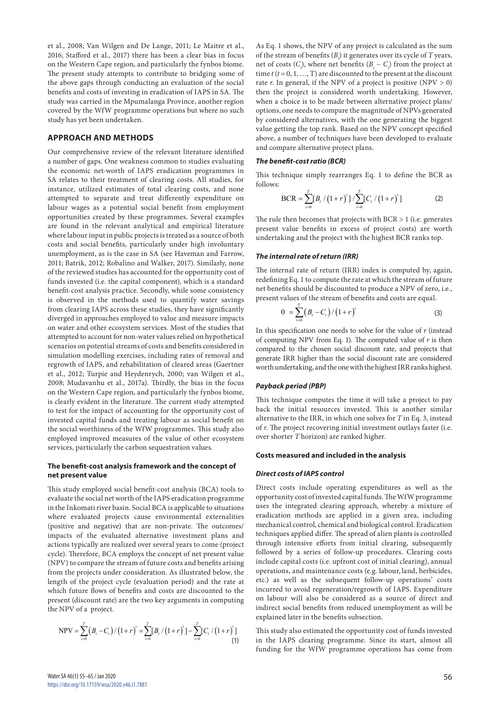et al., 2008; Van Wilgen and De Lange, 2011; Le Maitre et al., 2016; Stafford et al., 2017) there has been a clear bias in focus on the Western Cape region, and particularly the fynbos biome. The present study attempts to contribute to bridging some of the above gaps through conducting an evaluation of the social benefits and costs of investing in eradication of IAPS in SA. The study was carried in the Mpumalanga Province, another region covered by the WfW programme operations but where no such study has yet been undertaken.

#### **APPROACH AND METHODS**

Our comprehensive review of the relevant literature identified a number of gaps. One weakness common to studies evaluating the economic net-worth of IAPS eradication programmes in SA relates to their treatment of clearing costs. All studies, for instance, utilized estimates of total clearing costs, and none attempted to separate and treat differently expenditure on labour wages as a potential social benefit from employment opportunities created by these programmes. Several examples are found in the relevant analytical and empirical literature where labour input in public projects is treated as a source of both costs and social benefits, particularly under high involuntary unemployment, as is the case in SA (see Haveman and Farrow, 2011; Batrik, 2012; Robalino and Walker, 2017). Similarly, none of the reviewed studies has accounted for the opportunity cost of funds invested (i.e. the capital component), which is a standard benefit-cost analysis practice. Secondly, while some consistency is observed in the methods used to quantify water savings from clearing IAPS across these studies, they have significantly diverged in approaches employed to value and measure impacts on water and other ecosystem services. Most of the studies that attempted to account for non-water values relied on hypothetical scenarios on potential streams of costs and benefits considered in simulation modelling exercises, including rates of removal and regrowth of IAPS, and rehabilitation of cleared areas (Gaertner et al., 2012; Turpie and Heydenrych, 2000; van Wilgen et al., 2008; Mudavanhu et al., 2017a). Thirdly, the bias in the focus on the Western Cape region, and particularly the fynbos biome, is clearly evident in the literature. The current study attempted to test for the impact of accounting for the opportunity cost of invested capital funds and treating labour as social benefit on the social worthiness of the WfW programmes. This study also employed improved measures of the value of other ecosystem services, particularly the carbon sequestration values.

#### **The benefit-cost analysis framework and the concept of net present value**

This study employed social benefit-cost analysis (BCA) tools to evaluate the social net worth of the IAPS eradication programme in the Inkomati river basin. Social BCA is applicable to situations where evaluated projects cause environmental externalities (positive and negative) that are non-private. The outcomes/ impacts of the evaluated alternative investment plans and actions typically are realized over several years to come (project cycle). Therefore, BCA employs the concept of net present value (NPV) to compare the stream of future costs and benefits arising from the projects under consideration. As illustrated below, the length of the project cycle (evaluation period) and the rate at which future flows of benefits and costs are discounted to the present (discount rate) are the two key arguments in computing the NPV of a project.

$$
NPV = \sum_{t=0}^{T} (B_t - C_t) / (1+r)^t = \sum_{t=0}^{T} [B_t / (1+r)^t] - \sum_{t=0}^{T} [C_t / (1+r)^t]
$$
(1)

As Eq. 1 shows, the NPV of any project is calculated as the sum of the stream of benefits  $(B<sub>i</sub>)$  it generates over its cycle of *T* years, net of costs  $(C_t)$ , where net benefits  $(B_t - C_t)$  from the project at time  $t$  ( $t$  = 0, 1, ..., T) are discounted to the present at the discount rate  $r$ . In general, if the NPV of a project is positive (NPV  $> 0$ ) then the project is considered worth undertaking. However, when a choice is to be made between alternative project plans/ options, one needs to compare the magnitude of NPVs generated by considered alternatives, with the one generating the biggest value getting the top rank. Based on the NPV concept specified above, a number of techniques have been developed to evaluate and compare alternative project plans.

## *The benefit-cost ratio (BCR)*

This technique simply rearranges Eq. 1 to define the BCR as follows:

$$
BCR = \sum_{t=0}^{T} [B_t / (1+r)^t] / \sum_{t=0}^{T} [C_t / (1+r)^t]
$$
 (2)

The rule then becomes that projects with  $BCR > 1$  (i.e. generates present value benefits in excess of project costs) are worth undertaking and the project with the highest BCR ranks top.

#### *The internal rate of return (IRR)*

The internal rate of return (IRR) index is computed by, again, redefining Eq. 1 to compute the rate at which the stream of future net benefits should be discounted to produce a NPV of zero, i.e., present values of the stream of benefits and costs are equal.

$$
0 = \sum_{t=0}^{T} (B_t - C_t) / (1 + r)^t
$$
 (3)

In this specification one needs to solve for the value of *r* (instead of computing NPV from Eq. 1). The computed value of *r* is then compared to the chosen social discount rate, and projects that generate IRR higher than the social discount rate are considered worth undertaking, and the one with the highest IRR ranks highest.

#### *Payback period (PBP)*

This technique computes the time it will take a project to pay back the initial resources invested. This is another similar alternative to the IRR, in which one solves for *T* in Eq. 3, instead of *r*. The project recovering initial investment outlays faster (i.e. over shorter *T* horizon) are ranked higher.

#### **Costs measured and included in the analysis**

#### *Direct costs of IAPS control*

Direct costs include operating expenditures as well as the opportunity cost of invested capital funds. The WfW programme uses the integrated clearing approach, whereby a mixture of eradication methods are applied in a given area, including mechanical control, chemical and biological control. Eradication techniques applied differ. The spread of alien plants is controlled through intensive efforts from initial clearing, subsequently followed by a series of follow-up procedures. Clearing costs include capital costs (i.e. upfront cost of initial clearing), annual operations, and maintenance costs (e.g. labour, land, herbicides, etc.) as well as the subsequent follow-up operations' costs incurred to avoid regeneration/regrowth of IAPS. Expenditure on labour will also be considered as a source of direct and indirect social benefits from reduced unemployment as will be explained later in the benefits subsection.

This study also estimated the opportunity cost of funds invested in the IAPS clearing programme. Since its start, almost all funding for the WfW programme operations has come from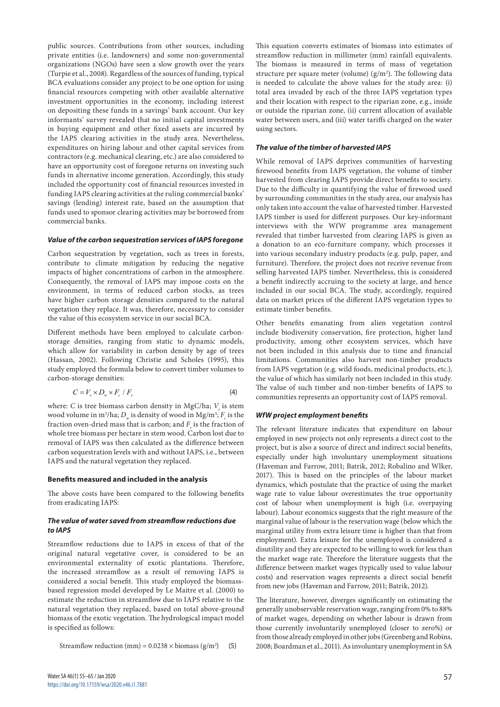public sources. Contributions from other sources, including private entities (i.e. landowners) and some non-governmental organizations (NGOs) have seen a slow growth over the years (Turpie et al., 2008). Regardless of the sources of funding, typical BCA evaluations consider any project to be one option for using financial resources competing with other available alternative investment opportunities in the economy, including interest on depositing these funds in a savings' bank account. Our key informants' survey revealed that no initial capital investments in buying equipment and other fixed assets are incurred by the IAPS clearing activities in the study area. Nevertheless, expenditures on hiring labour and other capital services from contractors (e.g. mechanical clearing, etc.) are also considered to have an opportunity cost of foregone returns on investing such funds in alternative income generation. Accordingly, this study included the opportunity cost of financial resources invested in funding IAPS clearing activities at the ruling commercial banks' savings (lending) interest rate, based on the assumption that funds used to sponsor clearing activities may be borrowed from commercial banks.

#### *Value of the carbon sequestration services of IAPS foregone*

Carbon sequestration by vegetation, such as trees in forests, contribute to climate mitigation by reducing the negative impacts of higher concentrations of carbon in the atmosphere. Consequently, the removal of IAPS may impose costs on the environment, in terms of reduced carbon stocks, as trees have higher carbon storage densities compared to the natural vegetation they replace. It was, therefore, necessary to consider the value of this ecosystem service in our social BCA.

Different methods have been employed to calculate carbonstorage densities, ranging from static to dynamic models, which allow for variability in carbon density by age of trees (Hassan, 2002). Following Christie and Scholes (1995), this study employed the formula below to convert timber volumes to carbon-storage densities:

$$
C = V_s \times D_w \times F_c / F_s \tag{4}
$$

where: *C* is tree biomass carbon density in MgC/ha; *V<sub>s</sub>* is stem wood volume in m<sup>3</sup>/ha;  $D_w$  is density of wood in Mg/m<sup>3</sup>;  $F_c$  is the fraction oven-dried mass that is carbon; and  $F<sub>s</sub>$  is the fraction of whole tree biomass per hectare in stem wood. Carbon lost due to removal of IAPS was then calculated as the difference between carbon sequestration levels with and without IAPS, i.e., between IAPS and the natural vegetation they replaced.

#### **Benefits measured and included in the analysis**

The above costs have been compared to the following benefits from eradicating IAPS:

## *The value of water saved from streamflow reductions due to IAPS*

Streamflow reductions due to IAPS in excess of that of the original natural vegetative cover, is considered to be an environmental externality of exotic plantations. Therefore, the increased streamflow as a result of removing IAPS is considered a social benefit. This study employed the biomassbased regression model developed by Le Maitre et al. (2000) to estimate the reduction in streamflow due to IAPS relative to the natural vegetation they replaced, based on total above-ground biomass of the exotic vegetation. The hydrological impact model is specified as follows:

Streamflow reduction (mm) =  $0.0238 \times \text{biomass (g/m}^2)$ ) (5) This equation converts estimates of biomass into estimates of streamflow reduction in millimeter (mm) rainfall equivalents. The biomass is measured in terms of mass of vegetation structure per square meter (volume)  $(g/m<sup>2</sup>)$ . The following data is needed to calculate the above values for the study area: (i) total area invaded by each of the three IAPS vegetation types and their location with respect to the riparian zone, e.g., inside or outside the riparian zone, (ii) current allocation of available water between users, and (iii) water tariffs charged on the water using sectors.

## *The value of the timber of harvested IAPS*

While removal of IAPS deprives communities of harvesting firewood benefits from IAPS vegetation, the volume of timber harvested from clearing IAPS provide direct benefits to society. Due to the difficulty in quantifying the value of firewood used by surrounding communities in the study area, our analysis has only taken into account the value of harvested timber. Harvested IAPS timber is used for different purposes. Our key-informant interviews with the WfW programme area management revealed that timber harvested from clearing IAPS is given as a donation to an eco-furniture company, which processes it into various secondary industry products (e.g. pulp, paper, and furniture). Therefore, the project does not receive revenue from selling harvested IAPS timber. Nevertheless, this is considered a benefit indirectly accruing to the society at large, and hence included in our social BCA. The study, accordingly, required data on market prices of the different IAPS vegetation types to estimate timber benefits.

Other benefits emanating from alien vegetation control include biodiversity conservation, fire protection, higher land productivity, among other ecosystem services, which have not been included in this analysis due to time and financial limitations. Communities also harvest non-timber products from IAPS vegetation (e.g. wild foods, medicinal products, etc.), the value of which has similarly not been included in this study. The value of such timber and non-timber benefits of IAPS to communities represents an opportunity cost of IAPS removal.

## *WfW project employment benefits*

The relevant literature indicates that expenditure on labour employed in new projects not only represents a direct cost to the project, but is also a source of direct and indirect social benefits, especially under high involuntary unemployment situations (Haveman and Farrow, 2011; Batrik, 2012; Robalino and Wlker, 2017). This is based on the principles of the labour market dynamics, which postulate that the practice of using the market wage rate to value labour overestimates the true opportunity cost of labour when unemployment is high (i.e. overpaying labour). Labour economics suggests that the right measure of the marginal value of labour is the reservation wage (below which the marginal utility from extra leisure time is higher than that from employment). Extra leisure for the unemployed is considered a disutility and they are expected to be willing to work for less than the market wage rate. Therefore the literature suggests that the difference between market wages (typically used to value labour costs) and reservation wages represents a direct social benefit from new jobs (Haveman and Farrow, 2011; Batrik, 2012).

The literature, however, diverges significantly on estimating the generally unobservable reservation wage, ranging from 0% to 88% of market wages, depending on whether labour is drawn from those currently involuntarily unemployed (closer to zero%) or from those already employed in other jobs (Greenberg and Robins, 2008; Boardman et al., 2011). As involuntary unemployment in SA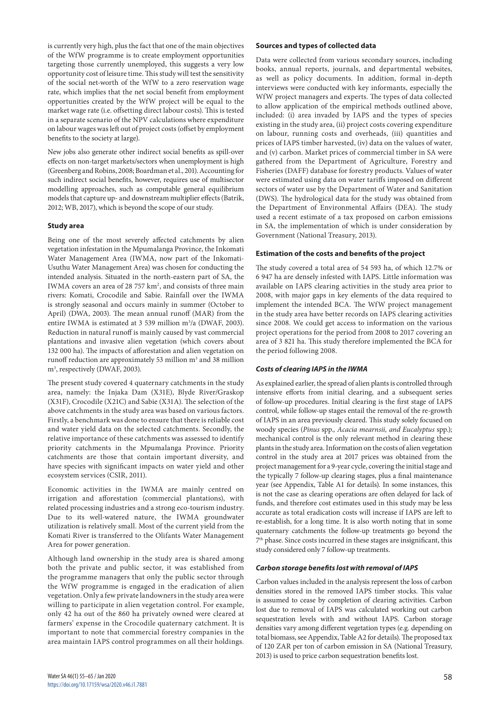is currently very high, plus the fact that one of the main objectives of the WfW programme is to create employment opportunities targeting those currently unemployed, this suggests a very low opportunity cost of leisure time. This study will test the sensitivity of the social net-worth of the WfW to a zero reservation wage rate, which implies that the net social benefit from employment opportunities created by the WfW project will be equal to the market wage rate (i.e. offsetting direct labour costs). This is tested in a separate scenario of the NPV calculations where expenditure on labour wages was left out of project costs (offset by employment benefits to the society at large).

New jobs also generate other indirect social benefits as spill-over effects on non-target markets/sectors when unemployment is high (Greenberg and Robins, 2008; Boardman et al., 201). Accounting for such indirect social benefits, however, requires use of multisector modelling approaches, such as computable general equilibrium models that capture up- and downstream multiplier effects (Batrik, 2012; WB, 2017), which is beyond the scope of our study.

## **Study area**

Being one of the most severely affected catchments by alien vegetation infestation in the Mpumalanga Province, the Inkomati Water Management Area (IWMA, now part of the Inkomati-Usuthu Water Management Area) was chosen for conducting the intended analysis. Situated in the north-eastern part of SA, the IWMA covers an area of 28 757 km<sup>2</sup>, and consists of three main rivers: Komati, Crocodile and Sabie. Rainfall over the IWMA is strongly seasonal and occurs mainly in summer (October to April) (DWA, 2003). The mean annual runoff (MAR) from the entire IWMA is estimated at 3 539 million m3 /a (DWAF, 2003). Reduction in natural runoff is mainly caused by vast commercial plantations and invasive alien vegetation (which covers about 132 000 ha). The impacts of afforestation and alien vegetation on runoff reduction are approximately 53 million m<sup>3</sup> and 38 million m<sup>3</sup>, respectively (DWAF, 2003).

The present study covered 4 quaternary catchments in the study area, namely: the Injaka Dam (X31E), Blyde River/Graskop (X31F), Crocodile (X21C) and Sabie (X31A). The selection of the above catchments in the study area was based on various factors. Firstly, a benchmark was done to ensure that there is reliable cost and water yield data on the selected catchments. Secondly, the relative importance of these catchments was assessed to identify priority catchments in the Mpumalanga Province. Priority catchments are those that contain important diversity, and have species with significant impacts on water yield and other ecosystem services (CSIR, 2011).

Economic activities in the IWMA are mainly centred on irrigation and afforestation (commercial plantations), with related processing industries and a strong eco-tourism industry. Due to its well-watered nature, the IWMA groundwater utilization is relatively small. Most of the current yield from the Komati River is transferred to the Olifants Water Management Area for power generation.

Although land ownership in the study area is shared among both the private and public sector, it was established from the programme managers that only the public sector through the WfW programme is engaged in the eradication of alien vegetation. Only a few private landowners in the study area were willing to participate in alien vegetation control. For example, only 42 ha out of the 860 ha privately owned were cleared at farmers' expense in the Crocodile quaternary catchment. It is important to note that commercial forestry companies in the area maintain IAPS control programmes on all their holdings.

## **Sources and types of collected data**

Data were collected from various secondary sources, including books, annual reports, journals, and departmental websites, as well as policy documents. In addition, formal in-depth interviews were conducted with key informants, especially the WfW project managers and experts. The types of data collected to allow application of the empirical methods outlined above, included: (i) area invaded by IAPS and the types of species existing in the study area, (ii) project costs covering expenditure on labour, running costs and overheads, (iii) quantities and prices of IAPS timber harvested, (iv) data on the values of water, and (v) carbon. Market prices of commercial timber in SA were gathered from the Department of Agriculture, Forestry and Fisheries (DAFF) database for forestry products. Values of water were estimated using data on water tariffs imposed on different sectors of water use by the Department of Water and Sanitation (DWS). The hydrological data for the study was obtained from the Department of Environmental Affairs (DEA). The study used a recent estimate of a tax proposed on carbon emissions in SA, the implementation of which is under consideration by Government (National Treasury, 2013).

## **Estimation of the costs and benefits of the project**

The study covered a total area of 54 593 ha, of which 12.7% or 6 947 ha are densely infested with IAPS. Little information was available on IAPS clearing activities in the study area prior to 2008, with major gaps in key elements of the data required to implement the intended BCA. The WfW project management in the study area have better records on IAPS clearing activities since 2008. We could get access to information on the various project operations for the period from 2008 to 2017 covering an area of 3 821 ha. This study therefore implemented the BCA for the period following 2008.

## *Costs of clearing IAPS in the IWMA*

As explained earlier, the spread of alien plants is controlled through intensive efforts from initial clearing, and a subsequent series of follow-up procedures. Initial clearing is the first stage of IAPS control, while follow-up stages entail the removal of the re-growth of IAPS in an area previously cleared. This study solely focused on woody species (*Pinus* spp.*, Acacia mearnsii, and Eucalyptus* spp*.*); mechanical control is the only relevant method in clearing these plants in the study area. Information on the costs of alien vegetation control in the study area at 2017 prices was obtained from the project management for a 9-year cycle, covering the initial stage and the typically 7 follow-up clearing stages, plus a final maintenance year (see Appendix, Table A1 for details). In some instances, this is not the case as clearing operations are often delayed for lack of funds, and therefore cost estimates used in this study may be less accurate as total eradication costs will increase if IAPS are left to re-establish, for a long time. It is also worth noting that in some quaternary catchments the follow-up treatments go beyond the 7th phase. Since costs incurred in these stages are insignificant, this study considered only 7 follow-up treatments.

## *Carbon storage benefits lost with removal of IAPS*

Carbon values included in the analysis represent the loss of carbon densities stored in the removed IAPS timber stocks. This value is assumed to cease by completion of clearing activities. Carbon lost due to removal of IAPS was calculated working out carbon sequestration levels with and without IAPS. Carbon storage densities vary among different vegetation types (e.g. depending on total biomass, see Appendix, Table A2 for details). The proposed tax of 120 ZAR per ton of carbon emission in SA (National Treasury, 2013) is used to price carbon sequestration benefits lost.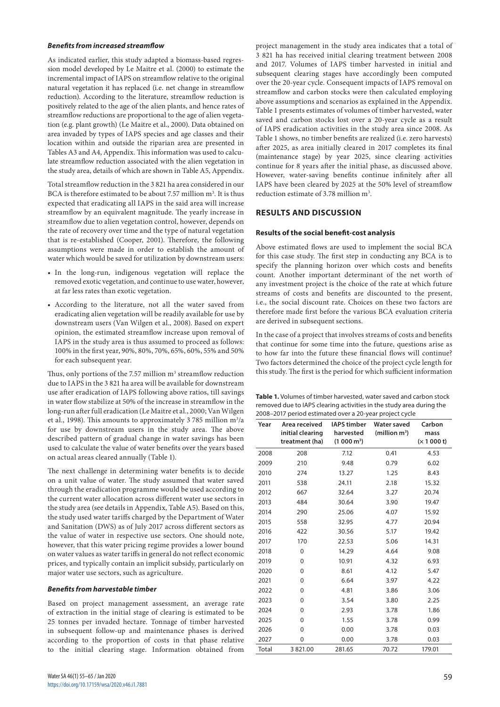#### *Benefits from increased streamflow*

As indicated earlier, this study adapted a biomass-based regression model developed by Le Maitre et al. (2000) to estimate the incremental impact of IAPS on streamflow relative to the original natural vegetation it has replaced (i.e. net change in streamflow reduction). According to the literature, streamflow reduction is positively related to the age of the alien plants, and hence rates of streamflow reductions are proportional to the age of alien vegetation (e.g. plant growth) (Le Maitre et al., 2000). Data obtained on area invaded by types of IAPS species and age classes and their location within and outside the riparian area are presented in Tables A3 and A4, Appendix. This information was used to calculate streamflow reduction associated with the alien vegetation in the study area, details of which are shown in Table A5, Appendix.

Total streamflow reduction in the 3 821 ha area considered in our BCA is therefore estimated to be about 7.57 million m<sup>3</sup>. It is thus expected that eradicating all IAPS in the said area will increase streamflow by an equivalent magnitude. The yearly increase in streamflow due to alien vegetation control, however, depends on the rate of recovery over time and the type of natural vegetation that is re-established (Cooper, 2001). Therefore, the following assumptions were made in order to establish the amount of water which would be saved for utilization by downstream users:

- • In the long-run, indigenous vegetation will replace the removed exotic vegetation, and continue to use water, however, at far less rates than exotic vegetation.
- • According to the literature, not all the water saved from eradicating alien vegetation will be readily available for use by downstream users (Van Wilgen et al., 2008). Based on expert opinion, the estimated streamflow increase upon removal of IAPS in the study area is thus assumed to proceed as follows: 100% in the first year, 90%, 80%, 70%, 65%, 60%, 55% and 50% for each subsequent year.

Thus, only portions of the 7.57 million m<sup>3</sup> streamflow reduction due to IAPS in the 3 821 ha area will be available for downstream use after eradication of IAPS following above ratios, till savings in water flow stabilize at 50% of the increase in streamflow in the long-run after full eradication (Le Maitre et al., 2000; Van Wilgen et al., 1998). This amounts to approximately 3 785 million m<sup>3</sup>/a for use by downstream users in the study area. The above described pattern of gradual change in water savings has been used to calculate the value of water benefits over the years based on actual areas cleared annually (Table 1).

The next challenge in determining water benefits is to decide on a unit value of water. The study assumed that water saved through the eradication programme would be used according to the current water allocation across different water use sectors in the study area (see details in Appendix, Table A5). Based on this, the study used water tariffs charged by the Department of Water and Sanitation (DWS) as of July 2017 across different sectors as the value of water in respective use sectors. One should note, however, that this water pricing regime provides a lower bound on water values as water tariffs in general do not reflect economic prices, and typically contain an implicit subsidy, particularly on major water use sectors, such as agriculture.

## *Benefits from harvestable timber*

Based on project management assessment, an average rate of extraction in the initial stage of clearing is estimated to be 25 tonnes per invaded hectare. Tonnage of timber harvested in subsequent follow-up and maintenance phases is derived according to the proportion of costs in that phase relative to the initial clearing stage. Information obtained from project management in the study area indicates that a total of 3 821 ha has received initial clearing treatment between 2008 and 2017. Volumes of IAPS timber harvested in initial and subsequent clearing stages have accordingly been computed over the 20-year cycle. Consequent impacts of IAPS removal on streamflow and carbon stocks were then calculated employing above assumptions and scenarios as explained in the Appendix. Table 1 presents estimates of volumes of timber harvested, water saved and carbon stocks lost over a 20-year cycle as a result of IAPS eradication activities in the study area since 2008. As Table 1 shows, no timber benefits are realized (i.e. zero harvests) after 2025, as area initially cleared in 2017 completes its final (maintenance stage) by year 2025, since clearing activities continue for 8 years after the initial phase, as discussed above. However, water-saving benefits continue infinitely after all IAPS have been cleared by 2025 at the 50% level of streamflow reduction estimate of 3.78 million m<sup>3</sup>.

# **RESULTS AND DISCUSSION**

## **Results of the social benefit-cost analysis**

Above estimated flows are used to implement the social BCA for this case study. The first step in conducting any BCA is to specify the planning horizon over which costs and benefits count. Another important determinant of the net worth of any investment project is the choice of the rate at which future streams of costs and benefits are discounted to the present, i.e., the social discount rate. Choices on these two factors are therefore made first before the various BCA evaluation criteria are derived in subsequent sections.

In the case of a project that involves streams of costs and benefits that continue for some time into the future, questions arise as to how far into the future these financial flows will continue? Two factors determined the choice of the project cycle length for this study. The first is the period for which sufficient information

| Table 1. Volumes of timber harvested, water saved and carbon stock   |
|----------------------------------------------------------------------|
| removed due to IAPS clearing activities in the study area during the |
| 2008-2017 period estimated over a 20-year project cycle              |

| Year  | Area received<br>initial clearing<br>treatment (ha) | <b>IAPS timber</b><br>harvested<br>(1 000 m <sup>3</sup> ) | <b>Water saved</b><br>(million $m^3$ ) | Carbon<br>mass<br>(x 1 000 t) |
|-------|-----------------------------------------------------|------------------------------------------------------------|----------------------------------------|-------------------------------|
| 2008  | 208                                                 | 7.12                                                       | 0.41                                   | 4.53                          |
| 2009  | 210                                                 | 9.48                                                       | 0.79                                   | 6.02                          |
| 2010  | 274                                                 | 13.27                                                      | 1.25                                   | 8.43                          |
| 2011  | 538                                                 | 24.11                                                      | 2.18                                   | 15.32                         |
| 2012  | 667                                                 | 32.64                                                      | 3.27                                   | 20.74                         |
| 2013  | 484                                                 | 30.64                                                      | 3.90                                   | 19.47                         |
| 2014  | 290                                                 | 25.06                                                      | 4.07                                   | 15.92                         |
| 2015  | 558                                                 | 32.95                                                      | 4.77                                   | 20.94                         |
| 2016  | 422                                                 | 30.56                                                      | 5.17                                   | 19.42                         |
| 2017  | 170                                                 | 22.53                                                      | 5.06                                   | 14.31                         |
| 2018  | 0                                                   | 14.29                                                      | 4.64                                   | 9.08                          |
| 2019  | 0                                                   | 10.91                                                      | 4.32                                   | 6.93                          |
| 2020  | 0                                                   | 8.61                                                       | 4.12                                   | 5.47                          |
| 2021  | 0                                                   | 6.64                                                       | 3.97                                   | 4.22                          |
| 2022  | 0                                                   | 4.81                                                       | 3.86                                   | 3.06                          |
| 2023  | 0                                                   | 3.54                                                       | 3.80                                   | 2.25                          |
| 2024  | 0                                                   | 2.93                                                       | 3.78                                   | 1.86                          |
| 2025  | 0                                                   | 1.55                                                       | 3.78                                   | 0.99                          |
| 2026  | 0                                                   | 0.00                                                       | 3.78                                   | 0.03                          |
| 2027  | 0                                                   | 0.00                                                       | 3.78                                   | 0.03                          |
| Total | 3 821.00                                            | 281.65                                                     | 70.72                                  | 179.01                        |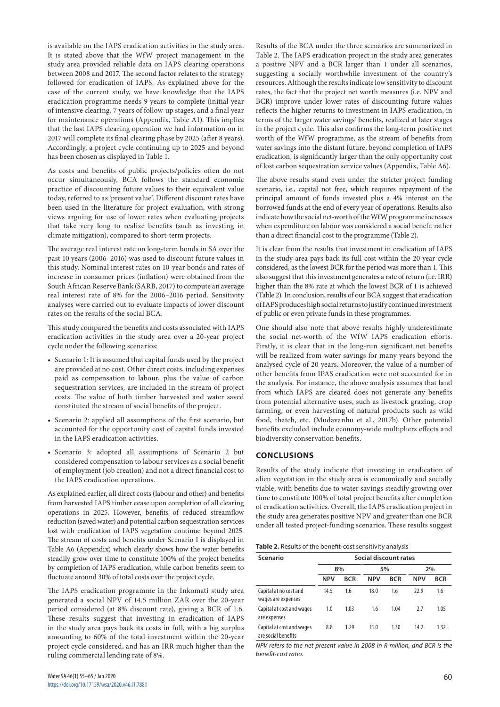is available on the IAPS eradication activities in the study area. It is stated above that the WfW project management in the study area provided reliable data on IAPS clearing operations between 2008 and 2017. The second factor relates to the strategy followed for eradication of IAPS. As explained above for the case of the current study, we have knowledge that the IAPS eradication programme needs 9 years to complete (initial year of intensive clearing, 7 years of follow-up stages, and a final year for maintenance operations (Appendix, Table A1). This implies that the last IAPS clearing operation we had information on in 2017 will complete its final clearing phase by 2025 (after 8 years). Accordingly, a project cycle continuing up to 2025 and beyond has been chosen as displayed in Table 1.

As costs and benefits of public projects/policies often do not occur simultaneously, BCA follows the standard economic practice of discounting future values to their equivalent value today, referred to as 'present value'. Different discount rates have been used in the literature for project evaluation, with strong views arguing for use of lower rates when evaluating projects that take very long to realize benefits (such as investing in climate mitigation), compared to short-term projects.

The average real interest rate on long-term bonds in SA over the past 10 years (2006–2016) was used to discount future values in this study. Nominal interest rates on 10-year bonds and rates of increase in consumer prices (inflation) were obtained from the South African Reserve Bank (SARB, 2017) to compute an average real interest rate of 8% for the 2006–2016 period. Sensitivity analyses were carried out to evaluate impacts of lower discount rates on the results of the social BCA.

This study compared the benefits and costs associated with IAPS eradication activities in the study area over a 20-year project cycle under the following scenarios:

- • Scenario 1: It is assumed that capital funds used by the project are provided at no cost. Other direct costs, including expenses paid as compensation to labour, plus the value of carbon sequestration services, are included in the stream of project costs. The value of both timber harvested and water saved constituted the stream of social benefits of the project.
- • Scenario 2: applied all assumptions of the first scenario, but accounted for the opportunity cost of capital funds invested in the IAPS eradication activities.
- • Scenario 3: adopted all assumptions of Scenario 2 but considered compensation to labour services as a social benefit of employment (job creation) and not a direct financial cost to the IAPS eradication operations.

As explained earlier, all direct costs (labour and other) and benefits from harvested IAPS timber cease upon completion of all clearing operations in 2025. However, benefits of reduced streamflow reduction (saved water) and potential carbon sequestration services lost with eradication of IAPS vegetation continue beyond 2025. The stream of costs and benefits under Scenario I is displayed in Table A6 (Appendix) which clearly shows how the water benefits steadily grow over time to constitute 100% of the project benefits by completion of IAPS eradication, while carbon benefits seem to fluctuate around 30% of total costs over the project cycle.

The IAPS eradication programme in the Inkomati study area generated a social NPV of 14.5 million ZAR over the 20-year period considered (at 8% discount rate), giving a BCR of 1.6. These results suggest that investing in eradication of IAPS in the study area pays back its costs in full, with a big surplus amounting to 60% of the total investment within the 20-year project cycle considered, and has an IRR much higher than the ruling commercial lending rate of 8%.

Results of the BCA under the three scenarios are summarized in Table 2. The IAPS eradication project in the study area generates a positive NPV and a BCR larger than 1 under all scenarios, suggesting a socially worthwhile investment of the country's resources. Although the results indicate low sensitivity to discount rates, the fact that the project net worth measures (i.e. NPV and BCR) improve under lower rates of discounting future values reflects the higher returns to investment in IAPS eradication, in terms of the larger water savings' benefits, realized at later stages in the project cycle. This also confirms the long-term positive net worth of the WfW programme, as the stream of benefits from water savings into the distant future, beyond completion of IAPS eradication, is significantly larger than the only opportunity cost of lost carbon sequestration service values (Appendix, Table A6).

The above results stand even under the stricter project funding scenario, i.e., capital not free, which requires repayment of the principal amount of funds invested plus a 4% interest on the borrowed funds at the end of every year of operations. Results also indicate how the social net-worth of the WfW programme increases when expenditure on labour was considered a social benefit rather than a direct financial cost to the programme (Table 2).

It is clear from the results that investment in eradication of IAPS in the study area pays back its full cost within the 20-year cycle considered, as the lowest BCR for the period was more than 1. This also suggest that this investment generates a rate of return (i.e. IRR) higher than the 8% rate at which the lowest BCR of 1 is achieved (Table 2). In conclusion, results of our BCA suggest that eradication of IAPS produces high social returns to justify continued investment of public or even private funds in these programmes.

One should also note that above results highly underestimate the social net-worth of the WfW IAPS eradication efforts. Firstly, it is clear that in the long-run significant net benefits will be realized from water savings for many years beyond the analysed cycle of 20 years. Moreover, the value of a number of other benefits from IPAS eradication were not accounted for in the analysis. For instance, the above analysis assumes that land from which IAPS are cleared does not generate any benefits from potential alternative uses, such as livestock grazing, crop farming, or even harvesting of natural products such as wild food, thatch, etc. (Mudavanhu et al., 2017b). Other potential benefits excluded include economy-wide multipliers effects and biodiversity conservation benefits.

# **CONCLUSIONS**

Results of the study indicate that investing in eradication of alien vegetation in the study area is economically and socially viable, with benefits due to water savings steadily growing over time to constitute 100% of total project benefits after completion of eradication activities. Overall, the IAPS eradication project in the study area generates positive NPV and greater than one BCR under all tested project-funding scenarios. These results suggest

| Scenario                                         |            |            | Social discount rates |            |            |            |
|--------------------------------------------------|------------|------------|-----------------------|------------|------------|------------|
|                                                  |            | 8%         |                       | 5%         |            | 2%         |
|                                                  | <b>NPV</b> | <b>BCR</b> | <b>NPV</b>            | <b>BCR</b> | <b>NPV</b> | <b>BCR</b> |
| Capital at no cost and<br>wages are expenses     | 14.5       | 1.6        | 18.0                  | 1.6        | 22.9       | 1.6        |
| Capital at cost and wages<br>are expenses        | 1.0        | 1.03       | 1.6                   | 1.04       | 2.7        | 1.05       |
| Capital at cost and wages<br>are social benefits | 8.8        | 1.29       | 11.0                  | 1.30       | 14.2       | 1.32       |

*NPV refers to the net present value in 2008 in R million, and BCR is the benefit-cost ratio.*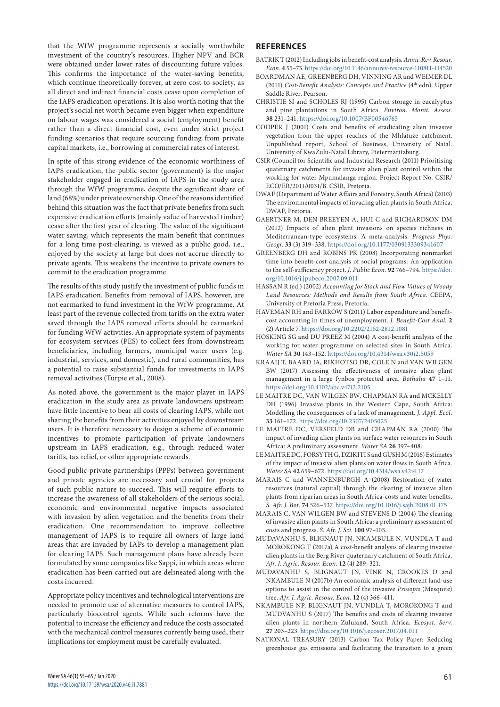that the WfW programme represents a socially worthwhile investment of the country's resources. Higher NPV and BCR were obtained under lower rates of discounting future values. This confirms the importance of the water-saving benefits, which continue theoretically forever, at zero cost to society, as all direct and indirect financial costs cease upon completion of the IAPS eradication operations. It is also worth noting that the project's social net worth became even bigger when expenditure on labour wages was considered a social (employment) benefit rather than a direct financial cost, even under strict project funding scenarios that require sourcing funding from private capital markets, i.e., borrowing at commercial rates of interest.

In spite of this strong evidence of the economic worthiness of IAPS eradication, the public sector (government) is the major stakeholder engaged in eradication of IAPS in the study area through the WfW programme, despite the significant share of land (68%) under private ownership. One of the reasons identified behind this situation was the fact that private benefits from such expensive eradication efforts (mainly value of harvested timber) cease after the first year of clearing. The value of the significant water saving, which represents the main benefit that continues for a long time post-clearing, is viewed as a public good, i.e., enjoyed by the society at large but does not accrue directly to private agents. This weakens the incentive to private owners to commit to the eradication programme.

The results of this study justify the investment of public funds in IAPS eradication. Benefits from removal of IAPS, however, are not earmarked to fund investment in the WfW programme. At least part of the revenue collected from tariffs on the extra water saved through the IAPS removal efforts should be earmarked for funding WfW activities. An appropriate system of payments for ecosystem services (PES) to collect fees from downstream beneficiaries, including farmers, municipal water users (e.g. industrial, services, and domestic), and rural communities, has a potential to raise substantial funds for investments in IAPS removal activities (Turpie et al., 2008).

As noted above, the government is the major player in IAPS eradication in the study area as private landowners upstream have little incentive to bear all costs of clearing IAPS, while not sharing the benefits from their activities enjoyed by downstream users. It is therefore necessary to design a scheme of economic incentives to promote participation of private landowners upstream in IAPS eradication, e.g., through reduced water tariffs, tax relief, or other appropriate rewards.

Good public-private partnerships (PPPs) between government and private agencies are necessary and crucial for projects of such public nature to succeed. This will require efforts to increase the awareness of all stakeholders of the serious social, economic and environmental negative impacts associated with invasion by alien vegetation and the benefits from their eradication. One recommendation to improve collective management of IAPS is to require all owners of large land areas that are invaded by IAPs to develop a management plan for clearing IAPS. Such management plans have already been formulated by some companies like Sappi, in which areas where eradication has been carried out are delineated along with the costs incurred.

Appropriate policy incentives and technological interventions are needed to promote use of alternative measures to control IAPS, particularly biocontrol agents. While such reforms have the potential to increase the efficiency and reduce the costs associated with the mechanical control measures currently being used, their implications for employment must be carefully evaluated.

# **REFERENCES**

- BATRIK T (2012) Including jobs in benefit-cost analysis. *Annu. Rev. Resour. Econ.* **4** 55–73.<https://doi.org/10.1146/annurev-resource-110811-114520>
- BOARDMAN AE, GREENBERG DH, VINNING AR and WEIMER DL (2011) *Cost-Benefit Analysis: Concepts and Practice* (4<sup>th</sup> edn). Upper Saddle River, Pearson.
- CHRISTIE SI and SCHOLES RJ (1995) Carbon storage in eucalyptus and pine plantations in South Africa. *Environ. Monit. Assess.* **38** 231–241. <https://doi.org/10.1007/BF00546765>
- COOPER J (2001) Costs and benefits of eradicating alien invasive vegetation from the upper reaches of the Mhlatuze catchment. Unpublished report, School of Business, University of Natal. University of KwaZulu-Natal Library, Pietermaritzburg.
- CSIR (Council for Scientific and Industrial Research (2011) Prioritising quaternary catchments for invasive alien plant control within the working for water Mpumalanga region. Project Report No. CSIR/ ECO/ER/2011/0031/B. CSIR, Pretoria.
- DWAF (Department of Water Affairs and Forestry, South Africa) (2003) The environmental impacts of invading alien plants in South Africa. DWAF, Pretoria.
- GAERTNER M, DEN BREEYEN A, HUI C and RICHARDSON DM (2012) Impacts of alien plant invasions on species richness in Mediterranean-type ecosystems: A meta-analysis. *Progress Phys. Geogr.* **33** (3) 319–338.<https://doi.org/10.1177/0309133309341607>
- GREENBERG DH and ROBINS PK (2008) Incorporating nonmarket time into benefit-cost analysis of social programs: An application to the self-sufficiency project. *J. Public Econ.* **92** 766–794. [https://doi.](https://doi.org/10.1016/j.jpubeco.2007.09.011) [org/10.1016/j.jpubeco.2007.09.011](https://doi.org/10.1016/j.jpubeco.2007.09.011)
- HASSAN R (ed.) (2002) *Accounting for Stock and Flow Values of Woody Land Resources: Methods and Results from South Africa*. CEEPA, University of Pretoria Press, Pretoria.
- HAVEMAN RH and FARROW S (2011) Labor expenditure and benefitcost accounting in times of unemployment. *J. Benefit-Cost Anal.* **2**  (2) Article 7. <https://doi.org/10.2202/2152-2812.1081>
- HOSKING SG and DU PREEZ M (2004) A cost-benefit analysis of the working for water programme on selected sites in South Africa. *Water SA* **30** 143–152.<https://doi.org/10.4314/wsa.v30i2.5059>
- KRAAIJ T, BAARD JA, RIKHOTSO DR, COLE N and VAN WILGEN BW (2017) Assessing the effectiveness of invasive alien plant management in a large fynbos protected area. *Bothalia* **47** 1–11. <https://doi.org/10.4102/abc.v47i2.2105>
- LE MAITRE DC, VAN WILGEN BW, CHAPMAN RA and MCKELLY DH (1996) Invasive plants in the Western Cape, South Africa: Modelling the consequences of a lack of management. *J. Appl. Ecol.*  **33** 161–172.<https://doi.org/10.2307/2405025>
- LE MAITRE DC, VERSFELD DB and CHAPMAN RA (2000) The impact of invading alien plants on surface water resources in South Africa: A preliminary assessment. *Water SA* **26** 397–408.
- LE MAITRE DC, FORSYTH G, DZIKITI S and GUSH M (2016) Estimates of the impact of invasive alien plants on water flows in South Africa. *Water SA* **42** 659–672. <https://doi.org/10.4314/wsa.v42i4.17>
- MARAIS C and WANNENBURGH A (2008) Restoration of water resources (natural capital) through the clearing of invasive alien plants from riparian areas in South Africa-costs and water benefits. *S. Afr. J. Bot.* **74** 526–537. <https://doi.org/10.1016/j.sajb.2008.01.175>
- MARAIS C, VAN WILGEN BW and STEVENS D (2004) The clearing of invasive alien plants in South Africa: a preliminary assessment of costs and progress. *S. Afr. J. Sci.* **100** 97–103.
- MUDAVANHU S, BLIGNAUT JN, NKAMBULE N, VUNDLA T and MOROKONG T (2017a) A cost-benefit analysis of clearing invasive alien plants in the Berg River quaternary catchment of South Africa. *Afr, J. Agric. Resour. Econ.* **12** (4) 289–321.
- MUDAVANHU S, BLIGNAUT JN, VINK N, CROOKES D and NKAMBULE N (2017b) An economic analysis of different land-use options to assist in the control of the invasive *Prosopis* (Mesquite) tree. *Afr. J. Agric. Resour. Econ.* **12** (4) 366–411.
- NKAMBULE NP, BLIGNAUT JN, VUNDLA T, MOROKONG T and MUDVANHU S (2017) The benefits and costs of clearing invasive alien plants in northern Zululand, South Africa. *Ecosyst. Serv.*  **27** 203–223. <https://doi.org/10.1016/j.ecoser.2017.04.011>
- NATIONAL TREASURY (2013) Carbon Tax Policy Paper: Reducing greenhouse gas emissions and facilitating the transition to a green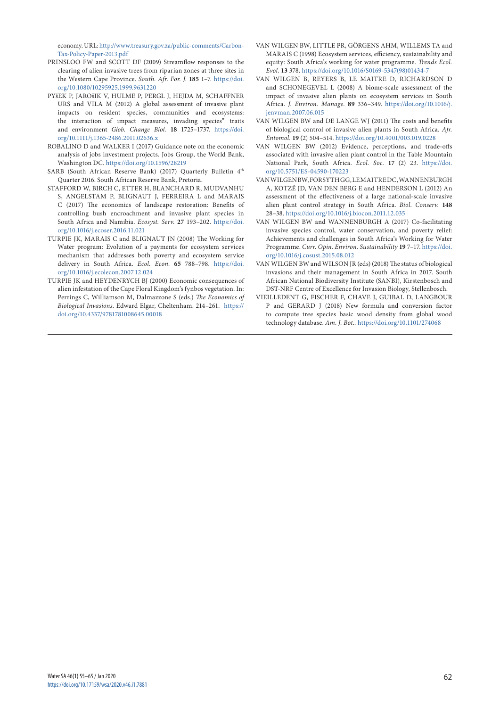economy. URL: [http://www.treasury.gov.za/public-comments/Carbon-](http://www.treasury.gov.za/public-comments/Carbon-Tax-Policy-Paper-2013.pdf)[Tax-Policy-Paper-2013.pdf](http://www.treasury.gov.za/public-comments/Carbon-Tax-Policy-Paper-2013.pdf)

- [PRINSLOO FW and SCOTT DF \(2009\) Streamflow responses to the](http://www.dwaf.gov.za/wfw/docs/Prinsloo&Scott,1999.pdf)  [clearing of alien invasive trees from riparian zones at three sites in](http://www.dwaf.gov.za/wfw/docs/Prinsloo&Scott,1999.pdf)  [the Western Cape Province.](http://www.dwaf.gov.za/wfw/docs/Prinsloo&Scott,1999.pdf) *South. Afr. For. J.* **185** 1–7. [https://doi.](https://doi.org/10.1080/10295925.1999.9631220) [org/10.1080/10295925.1999.9631220](https://doi.org/10.1080/10295925.1999.9631220)
- PYšEK P, JAROšIK V, HULME P, PERGL J, HEJDA M, SCHAFFNER URS and VILA M (2012) A global assessment of invasive plant impacts on resident species, communities and ecosystems: the interaction of impact measures, invading species" traits and environment *Glob. Change Biol.* **18** 1725–1737. [https://doi.](https://doi.org/10.1111/j.1365-2486.2011.02636.x) [org/10.1111/j.1365-2486.2011.02636.x](https://doi.org/10.1111/j.1365-2486.2011.02636.x)
- ROBALINO D and WALKER I (2017) Guidance note on the economic analysis of jobs investment projects. Jobs Group, the World Bank, Washington DC.<https://doi.org/10.1596/28219>
- SARB (South African Reserve Bank) (2017) Quarterly Bulletin  $4<sup>th</sup>$ Quarter 2016. South African Reserve Bank, Pretoria.
- STAFFORD W, BIRCH C, ETTER H, BLANCHARD R, MUDVANHU S, ANGELSTAM P, BLIGNAUT J, FERREIRA L and MARAIS C (2017) The economics of landscape restoration: Benefits of controlling bush encroachment and invasive plant species in South Africa and Namibia. *Ecosyst. Serv.* **27** 193–202*.* [https://doi.](https://doi.org/10.1016/j.ecoser.2016.11.021) [org/10.1016/j.ecoser.2016.11.021](https://doi.org/10.1016/j.ecoser.2016.11.021)
- TURPIE JK, MARAIS C and BLIGNAUT JN (2008) The Working for Water program: Evolution of a payments for ecosystem services mechanism that addresses both poverty and ecosystem service delivery in South Africa. *Ecol. Econ.* **65** 788–798. [https://doi.](https://doi.org/10.1016/j.ecolecon.2007.12.024) [org/10.1016/j.ecolecon.2007.12.024](https://doi.org/10.1016/j.ecolecon.2007.12.024)
- TURPIE JK and HEYDENRYCH BJ (2000) Economic consequences of alien infestation of the Cape Floral Kingdom's fynbos vegetation. In: Perrings C, Williamson M, Dalmazzone S (eds.) *The Economics of Biological Invasions*. Edward Elgar, Cheltenham. 214–261. [https://](https://doi.org/10.4337/9781781008645.00018) [doi.org/10.4337/9781781008645.00018](https://doi.org/10.4337/9781781008645.00018)
- VAN WILGEN BW, LITTLE PR, GÖRGENS AHM, WILLEMS TA and MARAIS C (1998) Ecosystem services, efficiency, sustainability and equity: South Africa's working for water programme. *Trends Ecol. Evol.* **13** 378. [https://doi.org/10.1016/S0169-5347\(98\)01434-7](https://doi.org/10.1016/S0169-5347(98)01434-7)
- VAN WILGEN B, REYERS B, LE MAITRE D, RICHARDSON D and SCHONEGEVEL L (2008) A biome-scale assessment of the impact of invasive alien plants on ecosystem services in South Africa. *J. Environ. Manage.* **89** 336–349. [https://doi.org/10.1016/j.](https://doi.org/10.1016/j.jenvman.2007.06.015) [jenvman.2007.06.015](https://doi.org/10.1016/j.jenvman.2007.06.015)
- VAN WILGEN BW and DE LANGE WJ (2011) The costs and benefits of biological control of invasive alien plants in South Africa. *Afr. Entomol.* **19** (2) 504–514. <https://doi.org/10.4001/003.019.0228>
- VAN WILGEN BW (2012) Evidence, perceptions, and trade-offs associated with invasive alien plant control in the Table Mountain National Park, South Africa. *Ecol. Soc.* **17** (2) 23. [https://doi.](https://doi.org/10.5751/ES-04590-170223) [org/10.5751/ES-04590-170223](https://doi.org/10.5751/ES-04590-170223)
- VAN WILGEN BW, FORSYTHGG, LEMAITREDC, WANNENBURGH A, KOTZÉ JD, VAN DEN BERG E and HENDERSON L (2012) An assessment of the effectiveness of a large national-scale invasive alien plant control strategy in South Africa. *Biol. Conserv.* **148** 28–38.<https://doi.org/10.1016/j.biocon.2011.12.035>
- VAN WILGEN BW and WANNENBURGH A (2017) Co-facilitating invasive species control, water conservation, and poverty relief: Achievements and challenges in South Africa's Working for Water Programme. *Curr. Opin. Environ. Sustainability* **19** 7–17. [https://doi.](https://doi.org/10.1016/j.cosust.2015.08.012) [org/10.1016/j.cosust.2015.08.012](https://doi.org/10.1016/j.cosust.2015.08.012)
- VAN WILGEN BW and WILSON JR (eds) (2018) The status of biological invasions and their management in South Africa in 2017. South African National Biodiversity Institute (SANBI), Kirstenbosch and DST-NRF Centre of Excellence for Invasion Biology, Stellenbosch.
- VIEILLEDENT G, FISCHER F, CHAVE J, GUIBAL D, LANGBOUR P and GERARD J (2018) New formula and conversion factor to compute tree species basic wood density from global wood technology database. *Am. J. Bot..* <https://doi.org/10.1101/274068>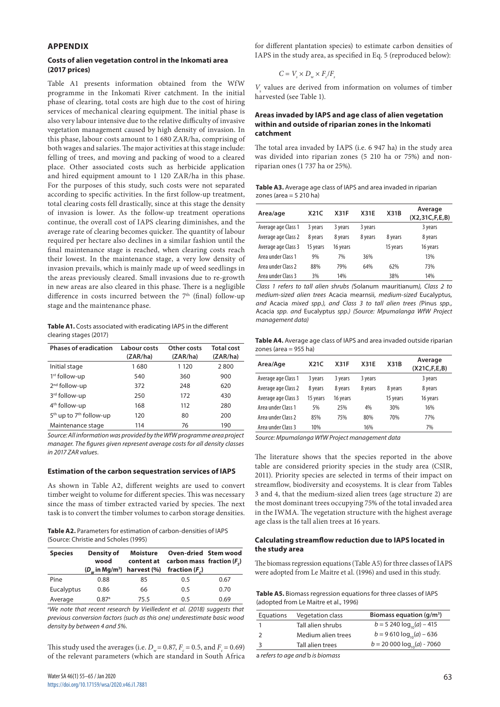#### **APPENDIX**

#### **Costs of alien vegetation control in the Inkomati area (2017 prices)**

Table A1 presents information obtained from the WfW programme in the Inkomati River catchment. In the initial phase of clearing, total costs are high due to the cost of hiring services of mechanical clearing equipment. The initial phase is also very labour intensive due to the relative difficulty of invasive vegetation management caused by high density of invasion. In this phase, labour costs amount to 1 680 ZAR/ha, comprising of both wages and salaries. The major activities at this stage include: felling of trees, and moving and packing of wood to a cleared place. Other associated costs such as herbicide application and hired equipment amount to 1 120 ZAR/ha in this phase. For the purposes of this study, such costs were not separated according to specific activities. In the first follow-up treatment, total clearing costs fell drastically, since at this stage the density of invasion is lower. As the follow-up treatment operations continue, the overall cost of IAPS clearing diminishes, and the average rate of clearing becomes quicker. The quantity of labour required per hectare also declines in a similar fashion until the final maintenance stage is reached, when clearing costs reach their lowest. In the maintenance stage, a very low density of invasion prevails, which is mainly made up of weed seedlings in the areas previously cleared. Small invasions due to re-growth in new areas are also cleared in this phase. There is a negligible difference in costs incurred between the 7<sup>th</sup> (final) follow-up stage and the maintenance phase.

**Table A1.** Costs associated with eradicating IAPS in the different clearing stages (2017)

| <b>Phases of eradication</b>                    | Labour costs<br>(ZAR/ha) | Other costs<br>(ZAR/ha) | <b>Total cost</b><br>(ZAR/ha) |
|-------------------------------------------------|--------------------------|-------------------------|-------------------------------|
| Initial stage                                   | 1680                     | 1 1 2 0                 | 2800                          |
| $1st$ follow-up                                 | 540                      | 360                     | 900                           |
| 2 <sup>nd</sup> follow-up                       | 372                      | 248                     | 620                           |
| 3 <sup>rd</sup> follow-up                       | 250                      | 172                     | 430                           |
| 4 <sup>th</sup> follow-up                       | 168                      | 112                     | 280                           |
| 5 <sup>th</sup> up to 7 <sup>th</sup> follow-up | 120                      | 80                      | 200                           |
| Maintenance stage                               | 114                      | 76                      | 190                           |

*Source: All information was provided by the WfW programme area project manager. The figures given represent average costs for all density classes in 2017 ZAR values.*

#### **Estimation of the carbon sequestration services of IAPS**

As shown in Table A2, different weights are used to convert timber weight to volume for different species. This was necessary since the mass of timber extracted varied by species. The next task is to convert the timber volumes to carbon storage densities.

**Table A2.** Parameters for estimation of carbon-densities of IAPS (Source: Christie and Scholes (1995)

| <b>Species</b> | Density of<br>wood  | <b>Moisture</b> | Oven-dried Stem wood<br>content at carbon mass fraction $(Fc)$<br>$(D_w$ in Mg/m <sup>3</sup> ) harvest (%) fraction $(F_c)$ |      |
|----------------|---------------------|-----------------|------------------------------------------------------------------------------------------------------------------------------|------|
| Pine           | 0.88                | 85              | 0.5                                                                                                                          | 0.67 |
| Eucalyptus     | 0.86                | 66              | 0.5                                                                                                                          | 0.70 |
| Average        | $0.87$ <sup>a</sup> | 75.5            | 0.5                                                                                                                          | 0.69 |

<sup>a</sup>We note that recent research by Vieilledent et al. (2018) suggests that *previous conversion factors (such as this one) underestimate basic wood density by between 4 and 5%.*

This study used the averages (i.e.  $D_w = 0.87$ ,  $F_c = 0.5$ , and  $F_s = 0.69$ ) of the relevant parameters (which are standard in South Africa for different plantation species) to estimate carbon densities of IAPS in the study area, as specified in Eq. 5 (reproduced below):

$$
C = V_s \times D_w \times F_c/F_s
$$

*V*<sub>s</sub> values are derived from information on volumes of timber harvested (see Table 1).

#### **Areas invaded by IAPS and age class of alien vegetation within and outside of riparian zones in the Inkomati catchment**

The total area invaded by IAPS (i.e. 6 947 ha) in the study area was divided into riparian zones (5 210 ha or 75%) and nonriparian ones (1 737 ha or 25%).

**Table A3.** Average age class of IAPS and area invaded in riparian zones (area  $=$  5 210 ha)

| Area/age            | X21C     | <b>X31F</b> | <b>X31E</b> | X31B     | Average<br>(X2,31C, F, E, B) |
|---------------------|----------|-------------|-------------|----------|------------------------------|
| Average age Class 1 | 3 years  | 3 years     | 3 years     |          | 3 years                      |
| Average age Class 2 | 8 years  | 8 years     | 8 years     | 8 years  | 8 years                      |
| Average age Class 3 | 15 years | 16 years    |             | 15 years | 16 years                     |
| Area under Class 1  | 9%       | 7%          | 36%         |          | 13%                          |
| Area under Class 2  | 88%      | 79%         | 64%         | 62%      | 73%                          |
| Area under Class 3  | 3%       | 14%         |             | 38%      | 14%                          |

*Class 1 refers to tall alien shrubs (*Solanum mauritianum*), Class 2 to medium-sized alien trees* Acacia mearnsii*, medium-sized* Eucalyptus*, and* Acacia *mixed spp.), and Class 3 to tall alien trees (*Pinus *spp.,*  Acacia *spp. and* Eucalyptus *spp.) (Source: Mpumalanga WfW Project management data)*

**Table A4.** Average age class of IAPS and area invaded outside riparian zones (area = 955 ha)

| Area/Age            | X21C     | <b>X31F</b> | <b>X31E</b> | X31B     | Average<br>(X21C, F, E, B) |
|---------------------|----------|-------------|-------------|----------|----------------------------|
| Average age Class 1 | 3 years  | 3 years     | 3 years     |          | 3 years                    |
| Average age Class 2 | 8 years  | 8 years     | 8 years     | 8 years  | 8 years                    |
| Average age Class 3 | 15 years | 16 years    |             | 15 years | 16 years                   |
| Area under Class 1  | 5%       | 25%         | 4%          | 30%      | 16%                        |
| Area under Class 2  | 85%      | 75%         | 80%         | 70%      | 77%                        |
| Area under Class 3  | 10%      |             | 16%         |          | 7%                         |

*Source: Mpumalanga WfW Project management data*

The literature shows that the species reported in the above table are considered priority species in the study area (CSIR, 2011). Priority species are selected in terms of their impact on streamflow, biodiversity and ecosystems. It is clear from Tables 3 and 4, that the medium-sized alien trees (age structure 2) are the most dominant trees occupying 75% of the total invaded area in the IWMA. The vegetation structure with the highest average age class is the tall alien trees at 16 years.

#### **Calculating streamflow reduction due to IAPS located in the study area**

The biomass regression equations (Table A5) for three classes of IAPS were adopted from Le Maitre et al. (1996) and used in this study.

**Table A5.** Biomass regression equations for three classes of IAPS (adopted from Le Maitre et al., 1996)

| Equations | <b>Vegetation class</b> | Biomass equation $(q/m^3)$      |
|-----------|-------------------------|---------------------------------|
|           | Tall alien shrubs       | $b = 5240 \log_{10}(a) - 415$   |
|           | Medium alien trees      | $b = 9610 \log_{10}(a) - 636$   |
|           | Tall alien trees        | $b = 20000 \log_{10}(a) - 7060$ |
|           |                         |                                 |

a *refers to age and* b *is biomass*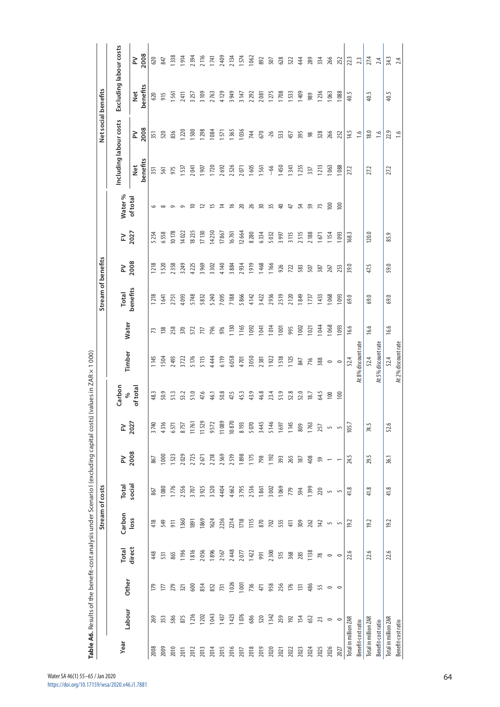|                      |         |         |         | Stream of costs  |                |        |                |               |                     |                          |                | Stream of benefits |                 |                |                        |                | Net social benefits    |           |
|----------------------|---------|---------|---------|------------------|----------------|--------|----------------|---------------|---------------------|--------------------------|----------------|--------------------|-----------------|----------------|------------------------|----------------|------------------------|-----------|
| Year                 |         |         | Total   | Carbon           | Total          | $\geq$ | 군              | Carbon        |                     |                          | <b>Total</b>   | $\geq$             | 군               | Water %        | Including labour costs |                | Excluding labour costs |           |
|                      | Labour  | Other   | direct  | loss             | social         | 2008   | 2027           | of total<br>శ | Timber              | Water                    | benefits       | 2008               | 2027            | of total       | benefits<br>Net        | 2008<br>$\geq$ | benefits<br><b>Net</b> | 2008<br>≳ |
| 2008                 | 269     | 179     | 448     | 418              | 867            | 867    | 3740           | 48.3          | 1145                | 73                       | 1218           | 1218               | 5254            |                | 351                    | 351            | 620                    | 620       |
| 2009                 | 353     | 177     | 531     | 549              | 1080           | 1000   | 4316           | 50.9          | 1504                | 138                      | 641            | <b>S20</b>         | 6558            | $\infty$       | 561                    | 520            | 915                    | 847       |
| 2010                 | 586     | 279     | 865     | 911              | 1776           | 1523   | 6571           | 51.3          | 2493                | 258                      | 2751           | 2358               | 10178           | $\circ$        | 975                    | 836            | 1561                   | 1338      |
| 2011                 | 875     | 321     | 196     | 1360             | 2556           | 2029   | 8757           | 53.2          | 3722                | 370                      | 4093           | 3249               | 14022           | െ              | 1537                   | 1220           | 2411                   | 1914      |
| 2012                 | 1216    | 600     | 1816    | 1891             | 3707           | 2725   | 11761          | 51.0          | 5176                | 572                      | 5748           | 4225               | 18235           | $\approx$      | 2041                   | <b>SOO</b>     | 3257                   | 2394      |
| 2013                 | 1202    | 854     | 2056    | 1869             | 3925           | 2671   | 11529          | 47.6          | 5115                | 77                       | 5832           | 3969               | 17130           |                | 907                    | <b>1298</b>    | 3 109                  | 2116      |
| 2014                 | 1043    | 852     | 1896    | 1624             | 3520           | 2218   | 9572           | 46.1          | 4444                | 796                      | 5240           | 3302               | 14250           | $\approx$ 15   | 1720                   | 1084           | 2763                   | 1741      |
| 2015                 | 1437    | 731     | 2167    | 2236             | 4404           | 2569   | 11089          | 50.8          | 6119                | 976                      | 7095           | 4140               | 17867           | $\overline{z}$ | 2692                   | 1571           | 4129                   | 2409      |
| 2016                 | 1423    | 1026    | 2448    | 2214             | 4662           | 2519   | 10870          | 47.5          | 6058                | 130                      | 7188           | 3884               | 16761           | $\approx$      | 2526                   | 1365           | 3949                   | 2134      |
| 2017                 | 1076    | 1001    | 2077    | 1718             | 3795           | 1898   | 8 193          | 45.3          | 4701                | 165                      | 5866           | 2934               | 12664           | 20             | 2071                   | 1036           | 3147                   | 1574      |
| 2018                 | 686     | 736     | 1422    | 115              | 2536           | 1175   | 5070           | 43.9          | 3050                | 092                      | 4142           | 1919               | 8280            | $\frac{26}{5}$ | 1605                   | 744            | 2292                   | 1062      |
| 2019                 | 520     | 471     | 991     | 870              | 1861           | 798    | 3445           | 46.8          | 2381                | $\overline{a}$           | 3422           | 1468               | 6334            | 50             | 1561                   | 670            | 2081                   | 892       |
| 2020                 | 1342    | 958     | 2300    | 702              | 3002           | 1192   | 5146           | 23.4          | 1922                | 014                      | 2936           | 1166               | 5032            | 35             | $-66$                  | $-26$          | 1275                   | 507       |
| 2021                 | 259     | 256     | 515     | 555              | 1069           | 393    | 1697           | 51.9          | 1518                | $\overline{\phantom{0}}$ | 2519           | 926                | 3997            |                | 1450                   | 533            | 1708                   | 628       |
| 2022                 | 192     | 176     | 368     | 41               | 779            | 265    | 1145           | 52.8          | 1125                | 995                      | 2120           | 722                | 3115            | $\ddot{+}$     | 1341                   | 457            | 1533                   | 522       |
| 2023                 | 154     | 131     | 285     | 309              | 594            | 187    | 809            | 52.0          | 847                 | $\approx$                | 1849           | 583                | 2515            |                | 1255                   | 395            | 1409                   | 44        |
| 2024                 | 652     | 486     | 1138    | 262              | 1399           | 408    | 1763           | 18.7          | 716                 | $\overline{2}$           | 1737           | 507                | 2 188           | 54 59 73       | 337                    | 98             | 989                    | 289       |
| 2025                 | 23      | 55      | $78$    | $\overline{142}$ | 220            | 59     | 257            | 64.5          | 388                 | <b>644</b>               | $\frac{33}{2}$ | 387                | $\overline{67}$ |                | 1213                   | 328            | 1236                   | 334       |
| 2026                 | $\circ$ | $\circ$ | $\circ$ | $\overline{5}$   | $\overline{5}$ |        | $\overline{5}$ | 100           | $\circ$             | 068                      | 1068           | 267                | <b>154</b>      | $\approx$      | 1063                   | 266            | 1063                   | 266       |
| 2027                 | $\circ$ | $\circ$ |         | $\overline{5}$   | $\overline{5}$ |        | $\overline{5}$ | 100           | $\circ$             | $\overline{6}$           | 1093           | 253                | 093             | $\geq$         | 088                    | 252            | 1088                   | 252       |
| Total in million ZAR |         |         | 22.6    | 19.2             | 41.8           | 24.5   | 105.7          |               | 52.4                | 16.6                     | 69.0           | 39.0               | 168.3           |                | 27.2                   | 14.5           | 40.5                   | 22.3      |
| Benefit-cost ratio   |         |         |         |                  |                |        |                |               | At 8% discount rate |                          |                |                    |                 |                |                        | $\frac{6}{16}$ |                        | 23        |
| Total in million ZAR |         |         | 22.6    | 19.2             | 41.8           | 29.5   | 74.5           |               | 52.4                | 16.6                     | 69.0           | 47.5               | 120.0           |                | 27.2                   | 18.0           | 40.5                   | 27,4      |
| Benefit-cost ratio   |         |         |         |                  |                |        |                |               | At 5% discount rate |                          |                |                    |                 |                |                        | $\frac{6}{1}$  |                        | 2.4       |
| Total in million ZAR |         |         | 22.6    | 19.2             | 41.8           | 36.1   | 52.6           |               | 52.4                | 16.6                     | 69.0           | 59.0               | 85.9            |                | 27.2                   | 22.9           | 40.5                   | 34.3      |
| Benefit-cost ratio   |         |         |         |                  |                |        |                |               | At 2% discount rate |                          |                |                    |                 |                |                        | $\frac{6}{16}$ |                        | 2.4       |